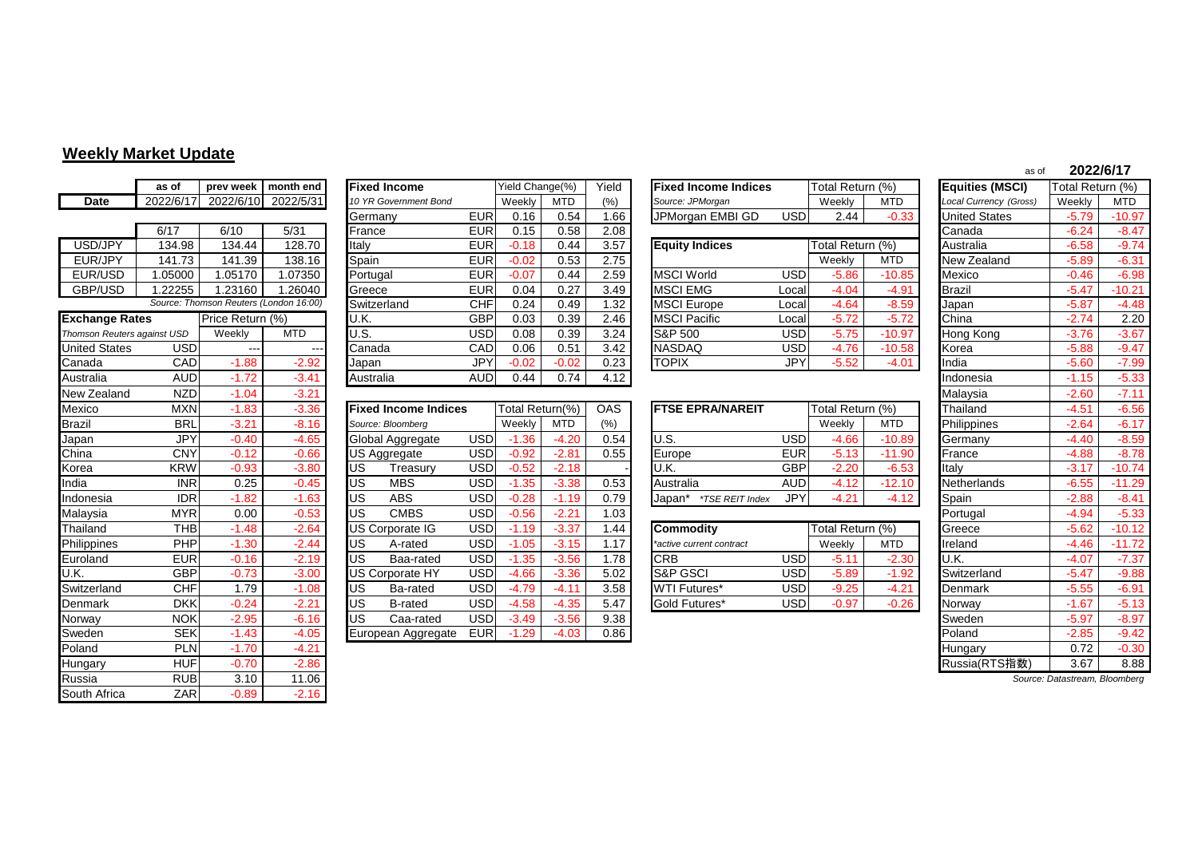## **Weekly Market Update**

|                             | as of      | prev week                              | month end  | <b>Fixed Income</b>    |                             |            | Yield Change(%) |            | Yield      | <b>Fixed Income Indices</b> |            | Total Return (%) |            | <b>Equities (MSCI)</b> | Total Return (%)              |            |
|-----------------------------|------------|----------------------------------------|------------|------------------------|-----------------------------|------------|-----------------|------------|------------|-----------------------------|------------|------------------|------------|------------------------|-------------------------------|------------|
| <b>Date</b>                 | 2022/6/17  | 2022/6/10                              | 2022/5/31  | 10 YR Government Bond  |                             |            | Weekly          | <b>MTD</b> | (%)        | Source: JPMorgan            |            | Weekly           | <b>MTD</b> | Local Currency (Gross) | Weekly                        | <b>MTD</b> |
|                             |            |                                        |            | Germany                |                             | <b>EUR</b> | 0.16            | 0.54       | 1.66       | JPMorgan EMBI GD            | USD        | 2.44             | $-0.33$    | <b>United States</b>   | $-5.79$                       | $-10.97$   |
|                             | 6/17       | 6/10                                   | 5/31       | France                 |                             | <b>EUR</b> | 0.15            | 0.58       | 2.08       |                             |            |                  |            | Canada                 | $-6.24$                       | $-8.47$    |
| USD/JPY                     | 134.98     | 134.44                                 | 128.70     | Italy                  |                             | <b>EUR</b> | $-0.18$         | 0.44       | 3.57       | <b>Equity Indices</b>       |            | Total Return (%) |            | Australia              | $-6.58$                       | $-9.74$    |
| EUR/JPY                     | 141.73     | 141.39                                 | 138.16     | Spain                  |                             | <b>EUR</b> | $-0.02$         | 0.53       | 2.75       |                             |            | Weekly           | <b>MTD</b> | New Zealand            | $-5.89$                       | $-6.31$    |
| EUR/USD                     | 1.05000    | 1.05170                                | 1.07350    | Portugal               |                             | <b>EUR</b> | $-0.07$         | 0.44       | 2.59       | <b>MSCI World</b>           | <b>USD</b> | $-5.86$          | $-10.85$   | Mexico                 | $-0.46$                       | $-6.98$    |
| GBP/USD                     | 1.22255    | 1.23160                                | 1.26040    | Greece                 |                             | <b>EUR</b> | 0.04            | 0.27       | 3.49       | <b>MSCI EMG</b>             | Local      | $-4.04$          | $-4.91$    | <b>Brazil</b>          | $-5.47$                       | $-10.21$   |
|                             |            | Source: Thomson Reuters (London 16:00) |            | Switzerland            |                             | <b>CHF</b> | 0.24            | 0.49       | 1.32       | <b>MSCI</b> Europe          | Local      | $-4.64$          | $-8.59$    | Japan                  | $-5.87$                       | $-4.48$    |
| <b>Exchange Rates</b>       |            | Price Return (%)                       |            | U.K.                   |                             | <b>GBP</b> | 0.03            | 0.39       | 2.46       | <b>MSCI Pacific</b>         | Local      | $-5.72$          | $-5.72$    | China                  | $-2.74$                       | 2.20       |
| Thomson Reuters against USD |            | Weekly                                 | <b>MTD</b> | U.S.                   |                             | <b>USD</b> | 0.08            | 0.39       | 3.24       | <b>S&amp;P 500</b>          | <b>USD</b> | $-5.75$          | $-10.97$   | Hong Kong              | $-3.76$                       | $-3.67$    |
| <b>United States</b>        | <b>USD</b> | ---                                    |            | Canada                 |                             | CAD        | 0.06            | 0.51       | 3.42       | <b>NASDAQ</b>               | USD        | $-4.76$          | $-10.58$   | Korea                  | $-5.88$                       | $-9.47$    |
| Canada                      | CAD        | $-1.88$                                | $-2.92$    | Japan                  |                             | <b>JPY</b> | $-0.02$         | $-0.02$    | 0.23       | <b>TOPIX</b>                | <b>JPY</b> | $-5.52$          | $-4.01$    | India                  | $-5.60$                       | $-7.99$    |
| Australia                   | <b>AUD</b> | $-1.72$                                | $-3.41$    | Australia              |                             | <b>AUD</b> | 0.44            | 0.74       | 4.12       |                             |            |                  |            | Indonesia              | $-1.15$                       | $-5.33$    |
| New Zealand                 | <b>NZD</b> | $-1.04$                                | $-3.21$    |                        |                             |            |                 |            |            |                             |            |                  |            | Malaysia               | $-2.60$                       | $-7.11$    |
| Mexico                      | <b>MXN</b> | $-1.83$                                | $-3.36$    |                        | <b>Fixed Income Indices</b> |            | Total Return(%) |            | <b>OAS</b> | <b>FTSE EPRA/NAREIT</b>     |            | Total Return (%) |            | Thailand               | $-4.51$                       | $-6.56$    |
| <b>Brazil</b>               | <b>BRL</b> | $-3.21$                                | $-8.16$    | Source: Bloomberg      |                             |            | Weekly          | <b>MTD</b> | (%)        |                             |            | Weekly           | <b>MTD</b> | Philippines            | $-2.64$                       | $-6.17$    |
| Japan                       | <b>JPY</b> | $-0.40$                                | $-4.65$    | Global Aggregate       |                             | USD        | $-1.36$         | $-4.20$    | 0.54       | U.S.                        | <b>USD</b> | $-4.66$          | $-10.89$   | Germany                | $-4.40$                       | $-8.59$    |
| China                       | <b>CNY</b> | $-0.12$                                | $-0.66$    | <b>US Aggregate</b>    |                             | <b>USD</b> | $-0.92$         | $-2.81$    | 0.55       | Europe                      | <b>EUR</b> | $-5.13$          | $-11.90$   | France                 | $-4.88$                       | $-8.78$    |
| Korea                       | <b>KRW</b> | $-0.93$                                | $-3.80$    | <b>US</b>              | Treasury                    | USD        | $-0.52$         | $-2.18$    |            | U.K.                        | <b>GBP</b> | $-2.20$          | $-6.53$    | Italy                  | $-3.17$                       | $-10.74$   |
| India                       | <b>INR</b> | 0.25                                   | $-0.45$    | US<br><b>MBS</b>       |                             | USD        | $-1.35$         | $-3.38$    | 0.53       | Australia                   | <b>AUD</b> | $-4.12$          | $-12.10$   | Netherlands            | $-6.55$                       | $-11.29$   |
| Indonesia                   | <b>IDR</b> | $-1.82$                                | $-1.63$    | US<br><b>ABS</b>       |                             | <b>USD</b> | $-0.28$         | $-1.19$    | 0.79       | Japan* *TSE REIT Index      | <b>JPY</b> | $-4.21$          | $-4.12$    | Spain                  | $-2.88$                       | $-8.41$    |
| Malaysia                    | <b>MYR</b> | 0.00                                   | $-0.53$    | <b>US</b>              | <b>CMBS</b>                 | USD        | $-0.56$         | $-2.21$    | 1.03       |                             |            |                  |            | Portugal               | $-4.94$                       | $-5.33$    |
| Thailand                    | <b>THB</b> | $-1.48$                                | $-2.64$    | <b>US Corporate IG</b> |                             | <b>USD</b> | $-1.19$         | $-3.37$    | 1.44       | <b>Commodity</b>            |            | Total Return (%) |            | Greece                 | $-5.62$                       | $-10.12$   |
| Philippines                 | PHP        | $-1.30$                                | $-2.44$    | <b>US</b>              | A-rated                     | USD        | $-1.05$         | $-3.15$    | 1.17       | *active current contract    |            | Weekly           | <b>MTD</b> | Ireland                | $-4.46$                       | $-11.72$   |
| Euroland                    | <b>EUR</b> | $-0.16$                                | $-2.19$    | <b>US</b>              | Baa-rated                   | USD        | $-1.35$         | $-3.56$    | 1.78       | <b>CRB</b>                  | USD        | $-5.11$          | $-2.30$    | U.K.                   | $-4.07$                       | $-7.37$    |
| U.K.                        | <b>GBP</b> | $-0.73$                                | $-3.00$    | <b>US Corporate HY</b> |                             | USD        | $-4.66$         | $-3.36$    | 5.02       | <b>S&amp;P GSCI</b>         | <b>USD</b> | $-5.89$          | $-1.92$    | Switzerland            | $-5.47$                       | $-9.88$    |
| Switzerland                 | <b>CHF</b> | 1.79                                   | $-1.08$    | US                     | Ba-rated                    | USD        | $-4.79$         | $-4.11$    | 3.58       | <b>WTI Futures*</b>         | <b>USD</b> | $-9.25$          | $-4.21$    | Denmark                | $-5.55$                       | $-6.91$    |
| Denmark                     | <b>DKK</b> | $-0.24$                                | $-2.21$    | <b>US</b>              | <b>B-rated</b>              | USD        | $-4.58$         | $-4.35$    | 5.47       | Gold Futures*               | USD        | $-0.97$          | $-0.26$    | Norway                 | $-1.67$                       | $-5.13$    |
| Norway                      | <b>NOK</b> | $-2.95$                                | $-6.16$    | US                     | Caa-rated                   | USD        | $-3.49$         | $-3.56$    | 9.38       |                             |            |                  |            | Sweden                 | $-5.97$                       | $-8.97$    |
| Sweden                      | <b>SEK</b> | $-1.43$                                | $-4.05$    |                        | European Aggregate          | <b>EUR</b> | $-1.29$         | $-4.03$    | 0.86       |                             |            |                  |            | Poland                 | $-2.85$                       | $-9.42$    |
| Poland                      | <b>PLN</b> | $-1.70$                                | $-4.21$    |                        |                             |            |                 |            |            |                             |            |                  |            | Hungary                | 0.72                          | $-0.30$    |
| Hungary                     | <b>HUF</b> | $-0.70$                                | $-2.86$    |                        |                             |            |                 |            |            |                             |            |                  |            | Russia(RTS指数)          | 3.67                          | 8.88       |
| Russia                      | <b>RUB</b> | 3.10                                   | 11.06      |                        |                             |            |                 |            |            |                             |            |                  |            |                        | Source: Datastream, Bloomberg |            |
| South Africa                | <b>ZAR</b> | $-0.89$                                | $-2.16$    |                        |                             |            |                 |            |            |                             |            |                  |            |                        |                               |            |

|                             | as of        | prev week                              | month end | <b>Fixed Income</b>   |             | Yield Change(%) |         | Yield | <b>Fixed Income Indices</b> |             | Total Return (%) |            | <b>Equities (MSCI)</b> | Total Return (%) |          |
|-----------------------------|--------------|----------------------------------------|-----------|-----------------------|-------------|-----------------|---------|-------|-----------------------------|-------------|------------------|------------|------------------------|------------------|----------|
| Date                        | 2022/6/17    | 2022/6/10                              | 2022/5/31 | 10 YR Government Bond |             | Weekly          | MTD     | (% )  | Source: JPMorgan            |             | Weekly           | <b>MTD</b> | Local Currency (Gross) | Weekly           | MTD      |
|                             |              |                                        |           | Germany               | EUR         | 0.16            | 0.54    | .66   | JPMorgan EMBI GD            | <b>USDI</b> | 2.44             | $-0.33$    | <b>United States</b>   | $-5.79$          | $-10.97$ |
|                             | 6/17         | 6/10                                   | 5/31      | France                | EUR         | 0.15            | 0.58    | 2.08  |                             |             |                  |            | Canada                 | $-6.24$          | $-8.47$  |
| USD/JPY                     | 134.98       | 134.44                                 | 128.70    | Italy                 | EUR         | $-0.18$         | 0.44    | 3.57  | <b>Equity Indices</b>       |             | Total Return (%) |            | Australia              | $-6.58$          | $-9.74$  |
| EUR/JPY                     | 141.73       | 141.39                                 | 138.16    | Spain                 | EUR         | $-0.02$         | 0.53    | 2.75  |                             |             | Weekly           | <b>MTD</b> | New Zealand            | $-5.89$          | $-6.31$  |
| EUR/USD                     | 1.05000      | 1.05170                                | .07350    | Portugal              | EUR         | $-0.07$         | 0.44    | 2.59  | <b>MSCI World</b>           | USDI        | $-5.86$          | $-10.85$   | Mexico                 | $-0.46$          | $-6.98$  |
| GBP/USD                     | .22255       | .23160                                 | .26040    | Greece                | EUR         | 0.04            | 0.27    | 3.49  | <b>MSCI EMG</b>             | Locall      | $-4.04$          | $-4.91$    | Brazil                 | $-5.47$          | $-10.21$ |
|                             |              | Source: Thomson Reuters (London 16:00) |           | Switzerland           | <b>CHF</b>  | 0.24            | 0.49    | 1.32  | <b>MSCI</b> Europe          | Locall      | $-4.64$          | $-8.59$    | Japan                  | $-5.87$          | $-4.48$  |
| <b>Exchange Rates</b>       |              | Price Return (%)                       |           | U.K.                  | <b>GBP</b>  | 0.03            | 0.39    | 2.46  | <b>MSCI Pacific</b>         | Locall      | $-5.72$          | $-5.72$    | China                  | $-2.74$          | 2.20     |
| Thomson Reuters against USD |              | Weekly                                 | MTD       | U.S                   | USDI        | 0.08            | 0.39    | 3.24  | <b>S&amp;P 500</b>          | USDI        | $-5.75$          | $-10.97$   | Hong Kong              | $-3.76$          | $-3.67$  |
| <b>United States</b>        | USD          | $---$                                  | $---$     | Canada                | <b>CAD</b>  | 0.06            | 0.51    | 3.42  | <b>NASDAQ</b>               | USDI        | $-4.76$          | $-10.58$   | Korea                  | $-5.88$          | $-9.47$  |
| Canada                      | CAD          | $-1.88$                                | $-2.92$   | Japan                 | JPY         | $-0.02$         | $-0.02$ | 0.23  | <b>TOPIX</b>                | JPY'        | $-5.52$          | $-4.01$    | India                  | $-5.60$          | $-7.99$  |
| Australia                   | <b>AUD</b>   | $-1.72$                                | $-3.41$   | Australia             | <b>AUDI</b> | 0.44            | 0.74    | 4.12  |                             |             |                  |            | Indonesia              | $-1.15$          | $-5.33$  |
| Now Zooland                 | <b>NIZOI</b> | $1 \Omega$                             | 2.21      |                       |             |                 |         |       |                             |             |                  |            | M <sub>2</sub>         | 2.60             | 7.44     |

| Mexico        | MXN.       | $-1.83$ | $-3.36$ |           | <b>Fixed Income Indices</b> |             | Total Return(%)  |         | <b>OAS</b> | <b>FTSE EPRA/NAREIT</b>   |                  | Total Return (%) |            | Thailand           | $-4.51$ | $-6.56$  |
|---------------|------------|---------|---------|-----------|-----------------------------|-------------|------------------|---------|------------|---------------------------|------------------|------------------|------------|--------------------|---------|----------|
| <b>Brazil</b> | <b>BRL</b> | $-3.21$ | $-8.16$ |           | Source: Bloomberg           |             | Weekly I         | MTD     | (% )       |                           |                  | Weekly           | <b>MTD</b> | Philippines        | $-2.64$ | $-6.17$  |
| Japan         | JPY        | $-0.40$ | $-4.65$ |           | Global Aggregate            | <b>USDI</b> | .36              | $-4.20$ | 0.54       | U.S.                      | <b>USD</b>       | $-4.66$          | $-10.89$   | Germany            | $-4.40$ | $-8.59$  |
| China         | CNY        | $-0.12$ | $-0.66$ |           | <b>US Aggregate</b>         | <b>USD</b>  | $-0.92$          | $-2.81$ | 0.55       | Europe                    | <b>EUR</b>       | $-5.13$          | $-11.90$   | France             | $-4.88$ | $-8.78$  |
| Korea         | <b>KRW</b> | $-0.93$ | $-3.80$ | <b>US</b> | Treasurv                    | <b>USDI</b> | $-0.52$          | $-2.18$ |            | U.K.                      | <b>GBP</b>       | $-2.20$          | $-6.53$    | Italy              | $-3.17$ | $-10.74$ |
| India         | <b>INR</b> | 0.25    | $-0.45$ | US        | <b>MBS</b>                  | <b>USD</b>  | .35 <sub>1</sub> | $-3.38$ | 0.53       | Australia                 | <b>AUD</b>       | $-4.12$          | $-12.10$   | <b>Netherlands</b> | $-6.55$ | $-11.29$ |
| Indonesia     | <b>IDR</b> | -1.82   | $-1.63$ | <b>US</b> | <b>ABS</b>                  | <b>USD</b>  | $-0.28$          | .19     | 0.79       | *TSE REIT Index<br>Japan* | JPY'             | $-4.21$          | $-4.12$    | Spain              | $-2.88$ | $-8.41$  |
| Malaysia      | <b>MYR</b> | 0.00    | $-0.53$ | <b>US</b> | <b>CMBS</b>                 | <b>USD</b>  | $-0.56$          | $-2.21$ | 1.03       |                           |                  |                  |            | Portugal           | $-4.94$ | $-5.33$  |
| Thailand      | <b>THB</b> | $-1.48$ | $-2.64$ |           | <b>US Corporate IG</b>      | <b>USDI</b> | -1.19            | $-3.37$ | 1.44       | <b>Commodity</b>          |                  | Total Return (%) |            | Greece             | $-5.62$ | $-10.12$ |
| Philippines   | <b>PHP</b> | $-1.30$ | $-2.44$ | US        | A-rated                     | <b>USD</b>  | .05              | $-3.15$ | 1.17       | *active current contract  |                  | Weekly           | <b>MTD</b> | Ireland            | $-4.46$ | $-11.72$ |
| Euroland      | <b>EUR</b> | $-0.16$ | $-2.19$ | <b>US</b> | Baa-rated                   | <b>USDI</b> | .35              | $-3.56$ | 1.78       | <b>CRB</b>                | <b>USD</b>       | $-5.11$          | $-2.30$    | U.K.               | $-4.07$ | $-7.37$  |
| U.K.          | <b>GBP</b> | $-0.73$ | $-3.00$ |           | US Corporate HY             | <b>USDI</b> | -4.66            | $-3.36$ | 5.02       | <b>S&amp;P GSCI</b>       | USDI             | $-5.89$          | $-1.92$    | Switzerland        | $-5.47$ | $-9.88$  |
| Switzerland   | <b>CHF</b> | 1.79    | $-1.08$ | <b>US</b> | Ba-rated                    | <b>USD</b>  | -4.79            | $-4.11$ | 3.58       | <b>WTI Futures*</b>       | <b>USD</b>       | $-9.25$          | $-4.21$    | Denmark            | $-5.55$ | $-6.91$  |
| Denmark       | <b>DKK</b> | $-0.24$ | $-2.21$ | US        | <b>B-rated</b>              | USDI        | -4.58            | $-4.35$ | 5.47       | <b>Gold Futures*</b>      | USD <sub>I</sub> | $-0.97$          | $-0.26$    | Norway             | $-1.67$ | $-5.13$  |
| Norway        | <b>NOK</b> | $-2.95$ | $-6.16$ | <b>US</b> | Caa-rated                   | <b>USDI</b> | $-3.49$          | $-3.56$ | 9.38       |                           |                  |                  |            | Sweden             | $-5.97$ | $-8.97$  |
| Sweden        | <b>SEK</b> | $-1.43$ | $-4.05$ |           | European Aggregate          | <b>EUR</b>  | .29              | $-4.03$ | 0.86       |                           |                  |                  |            | Poland             | $-2.85$ | $-9.42$  |
|               |            |         |         |           |                             |             |                  |         |            |                           |                  |                  |            |                    |         |          |

| <b>Fixed Income</b>   |            | Yield Change(%)     |            | Yield                        |  | <b>Fixed Income Indices</b> |            | Total Return (%) |            | <b>Equities (MSCI)</b> | Total Return (%) |            |
|-----------------------|------------|---------------------|------------|------------------------------|--|-----------------------------|------------|------------------|------------|------------------------|------------------|------------|
| 10 YR Government Bond |            | Weekly              | <b>MTD</b> | (%)                          |  | Source: JPMorgan            |            | Weekly           | <b>MTD</b> | Local Currency (Gross) | Weekly           | <b>MTD</b> |
| Germany               | <b>EUR</b> | 0.16                | 0.54       | 1.66                         |  | JPMorgan EMBI GD            | USD        | 2.44             | $-0.33$    | <b>United States</b>   | $-5.79$          | $-10.97$   |
| France                | <b>EUR</b> | 0.15                | 0.58       | 2.08                         |  |                             |            |                  |            | Canada                 | $-6.24$          | $-8.47$    |
| Italy                 | <b>EUR</b> | $-0.18$             | 0.44       | 3.57                         |  | <b>Equity Indices</b>       |            | Total Return (%) |            | Australia              | $-6.58$          | $-9.74$    |
| Spain                 | <b>EUR</b> | $-0.02$             | 0.53       | 2.75                         |  |                             |            | Weekly           | <b>MTD</b> | New Zealand            | $-5.89$          | $-6.31$    |
| Portugal              | <b>EUR</b> | $-0.07$             | 0.44       | 2.59                         |  | <b>MSCI World</b>           | USDI       | $-5.86$          | $-10.85$   | Mexico                 | $-0.46$          | $-6.98$    |
| Greece                | <b>EUR</b> | 0.04                | 0.27       | 3.49                         |  | <b>MSCI EMG</b>             | Locall     | $-4.04$          | $-4.91$    | <b>Brazil</b>          | $-5.47$          | $-10.21$   |
| Switzerland           | CHF        | 0.24                | 0.49       | 1.32                         |  | <b>MSCI</b> Europe          | Locall     | $-4.64$          | $-8.59$    | Japan                  | $-5.87$          | $-4.48$    |
| U.K.                  | GBP        | 0.03                | 0.39       | 2.46                         |  | <b>MSCI Pacific</b>         | Locall     | $-5.72$          | $-5.72$    | China                  | $-2.74$          | 2.20       |
| U.S.                  | ∪SD∣       | 0.08                | 0.39       | 3.24                         |  | S&P 500                     | USD        | $-5.75$          | $-10.97$   | Hong Kong              | $-3.76$          | $-3.67$    |
| Canada                | CAD        | 0.06                | 0.51       | 3.42                         |  | <b>NASDAQ</b>               | USD        | $-4.76$          | $-10.58$   | Korea                  | $-5.88$          | $-9.47$    |
| Japan                 | JPY        | $-0.02$             | $-0.02$    | 0.23                         |  | <b>TOPIX</b>                | <b>JPY</b> | $-5.52$          | $-4.01$    | India                  | $-5.60$          | $-7.99$    |
| $A \cdot A + A$       | 11D        | $\bigcap$ $\bigcap$ | $\sim$ 74  | $\lambda$ $\lambda$ $\Omega$ |  |                             |            |                  |            | Independent            | $A$ $A$ $E$      | E OO       |

| <b>FTSE EPRA/NAREIT</b>   | Total Return (%) |         |            |  |  |
|---------------------------|------------------|---------|------------|--|--|
|                           |                  | Weekly  | <b>MTD</b> |  |  |
| <b>U.S.</b>               | <b>USD</b>       | $-4.66$ | $-10.89$   |  |  |
| Europe                    | EUR.             | $-5.13$ | $-11.90$   |  |  |
| U.K.                      | <b>GBP</b>       | $-2.20$ | $-6.53$    |  |  |
| Australia                 | AUD              | $-4.12$ | $-12.10$   |  |  |
| Japan*<br>*TSE REIT Index |                  | $-4.21$ | -4.12      |  |  |

| <b>Commodity</b>         |     | Total Return (%) |         |
|--------------------------|-----|------------------|---------|
| *active current contract |     | Weekly           | MTD     |
| CRB                      | USD | $-5.11$          | $-2.30$ |
| <b>S&amp;P GSCI</b>      | USD | $-5.89$          | $-1.92$ |
| <b>WTI Futures*</b>      | USD | $-9.25$          | -4.21   |
| Gold Futures*            |     |                  | 0.26    |

| <b>Equities (MSCI)</b> | Total Return (%) |            |  |  |  |  |
|------------------------|------------------|------------|--|--|--|--|
| Local Currency (Gross) | Weekly           | <b>MTD</b> |  |  |  |  |
| <b>United States</b>   | $-5.79$          | $-10.97$   |  |  |  |  |
| Canada                 | $-6.24$          | $-8.47$    |  |  |  |  |
| Australia              | $-6.58$          | $-9.74$    |  |  |  |  |
| New Zealand            | $-5.89$          | $-6.31$    |  |  |  |  |
| Mexico                 | $-0.46$          | $-6.98$    |  |  |  |  |
| <b>Brazil</b>          | $-5.47$          | $-10.21$   |  |  |  |  |
| Japan                  | $-5.87$          | $-4.48$    |  |  |  |  |
| China                  | $-2.74$          | 2.20       |  |  |  |  |
| Hong Kong              | $-3.76$          | $-3.67$    |  |  |  |  |
| Korea                  | $-5.88$          | $-9.47$    |  |  |  |  |
| India                  | $-5.60$          | $-7.99$    |  |  |  |  |
| Indonesia              | $-1.15$          | $-5.33$    |  |  |  |  |
| Malaysia               | $-2.60$          | $-7.11$    |  |  |  |  |
| Thailand               | $-4.51$          | $-6.56$    |  |  |  |  |
| Philippines            | $-2.64$          | $-6.17$    |  |  |  |  |
| Germany                | $-4.40$          | $-8.59$    |  |  |  |  |
| France                 | $-4.88$          | $-8.78$    |  |  |  |  |
| Italy                  | $-3.17$          | $-10.74$   |  |  |  |  |
| Netherlands            | $-6.55$          | $-11.29$   |  |  |  |  |
| Spain                  | $-2.88$          | $-8.41$    |  |  |  |  |
| Portugal               | $-4.94$          | $-5.33$    |  |  |  |  |
| Greece                 | $-5.62$          | $-10.12$   |  |  |  |  |
| Ireland                | -4.46            | $-11.72$   |  |  |  |  |
| U.K.                   | $-4.07$          | $-7.37$    |  |  |  |  |
| Switzerland            | $-5.47$          | $-9.88$    |  |  |  |  |
| Denmark                | $-5.55$          | $-6.91$    |  |  |  |  |
| Norway                 | $-1.67$          | $-5.13$    |  |  |  |  |
| Sweden                 | $-5.97$          | $-8.97$    |  |  |  |  |
| Poland                 | $-2.85$          | $-9.42$    |  |  |  |  |
| <b>Hungary</b>         | 0.72             | $-0.30$    |  |  |  |  |
| Russia(RTS指数)          | 3.67             | 8.88       |  |  |  |  |

as of

**2022/6/17**